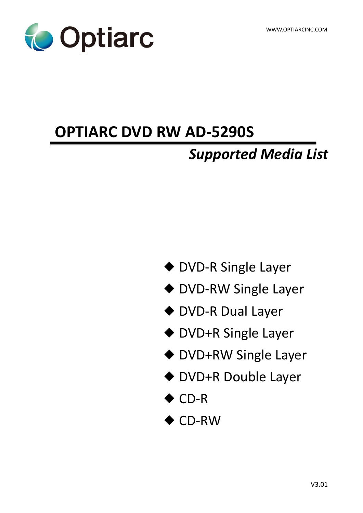

# **OPTIARC DVD RW AD-5290S**

# *Supported Media List*

- ◆ DVD-R Single Layer
- ◆ DVD-RW Single Layer
- ◆ DVD-R Dual Layer
- ◆ DVD+R Single Layer
- ◆ DVD+RW Single Layer
- ◆ DVD+R Double Layer
- ◆ CD-R
- ◆ CD-RW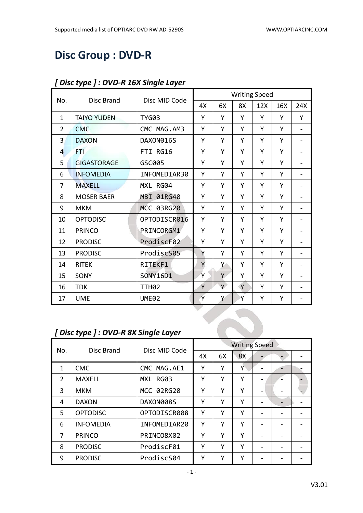# **Disc Group : DVD-R**

|                |                                      |                   |    |    |              | <b>Writing Speed</b> |     |                          |
|----------------|--------------------------------------|-------------------|----|----|--------------|----------------------|-----|--------------------------|
| No.            | <b>Disc Brand</b>                    | Disc MID Code     | 4X | 6X | 8X           | 12X                  | 16X | 24X                      |
| $\mathbf{1}$   | <b>TAIYO YUDEN</b>                   | <b>TYG03</b>      | Υ  | Y  | Y            | Υ                    | Y   | Y                        |
| $\overline{2}$ | <b>CMC</b>                           | CMC MAG.AM3       | Υ  | Y  | Y            | Y                    | Y   | $\blacksquare$           |
| 3              | <b>DAXON</b>                         | DAXON016S         | Υ  | Υ  | Y            | Υ                    | Y   |                          |
| 4              | FTI.                                 | FTI RG16          | Υ  | Y  | Υ            | Υ                    | Y   | $\overline{\phantom{0}}$ |
| 5              | <b>GIGASTORAGE</b>                   | GSC005            | Υ  | Y  | Υ            | Y                    | Y   | $\overline{\phantom{a}}$ |
| 6              | <b>INFOMEDIA</b>                     | INFOMEDIAR30      | Y  | Y  | Y            | Y                    | Y   |                          |
| 7              | <b>MAXELL</b>                        | MXL RG04          | Υ  | Υ  | Y            | Υ                    | Y   | $\overline{\phantom{0}}$ |
| 8              | <b>MOSER BAER</b>                    | MBI 01RG40        | Υ  | Y  | Υ            | Υ                    | Y   | $\overline{\phantom{a}}$ |
| 9              | <b>MKM</b>                           | MCC 03RG20        | Y  | Y  | Y            | Y                    | Y   |                          |
| 10             | <b>OPTODISC</b>                      | OPTODISCR016      | Υ  | Y  | Υ            | Y                    | Y   | $\overline{a}$           |
| 11             | <b>PRINCO</b>                        | PRINCORGM1        | Υ  | Υ  | Υ            | Y                    | Y   | $\overline{\phantom{a}}$ |
| 12             | <b>PRODISC</b>                       | ProdiscF02        | Y  | Y  | Y            | Y                    | Y   |                          |
| 13             | <b>PRODISC</b>                       | ProdiscS05        | Y  | Y  | Y            | Υ                    | Y   |                          |
| 14             | <b>RITEK</b>                         | RITEKF1           | Y  | Υ  | Υ            | Υ                    | Y   | $\overline{\phantom{a}}$ |
| 15             | SONY                                 | SONY16D1          | Ÿ  | Y  | Y            | Υ                    | Y   |                          |
| 16             | <b>TDK</b>                           | TTH <sub>02</sub> | Υ  | Y  | $\mathsf{Y}$ | Υ                    | Y   | $\overline{\phantom{0}}$ |
| 17             | <b>UME</b>                           | UME02             | Y  | Υ  | Y            | Υ                    | Υ   | $\overline{\phantom{a}}$ |
|                |                                      |                   |    |    |              |                      |     |                          |
|                |                                      |                   |    |    |              |                      |     |                          |
|                | [Disc type ] : DVD-R 8X Single Layer |                   |    |    |              |                      |     |                          |

#### *[ Disc type ] : DVD-R 16X Single Layer*

## *[ Disc type ] : DVD-R 8X Single Layer*

| No.            | Disc Brand       | Disc MID Code | <b>Writing Speed</b> |    |    |  |  |  |
|----------------|------------------|---------------|----------------------|----|----|--|--|--|
|                |                  |               | 4X                   | 6X | 8X |  |  |  |
| 1              | <b>CMC</b>       | CMC MAG.AE1   | Y                    | Υ  | Y  |  |  |  |
| $\overline{2}$ | <b>MAXELL</b>    | MXL RG03      | Υ                    | Υ  | Υ  |  |  |  |
| 3              | <b>MKM</b>       | MCC 02RG20    | Υ                    | Υ  | Υ  |  |  |  |
| 4              | <b>DAXON</b>     | DAXON008S     | Υ                    | Υ  | Y  |  |  |  |
| 5              | <b>OPTODISC</b>  | OPTODISCR008  | Υ                    | Υ  | Y  |  |  |  |
| 6              | <b>INFOMEDIA</b> | INFOMEDIAR20  | Υ                    | Υ  | Υ  |  |  |  |
| 7              | <b>PRINCO</b>    | PRINCO8X02    | Υ                    | Υ  | Y  |  |  |  |
| 8              | <b>PRODISC</b>   | ProdiscF01    | Υ                    | Υ  | Υ  |  |  |  |
| 9              | <b>PRODISC</b>   | ProdiscS04    | Υ                    | Υ  | Υ  |  |  |  |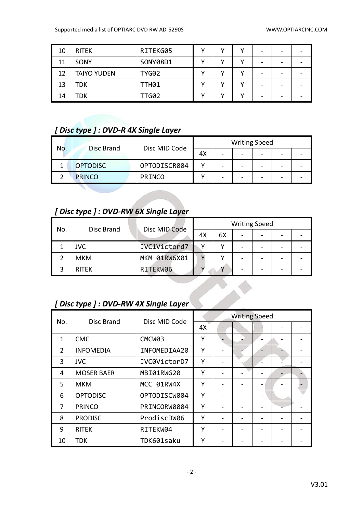| 10 | <b>RITEK</b>       | RITEKG05     | v | v | - |  |
|----|--------------------|--------------|---|---|---|--|
| 11 | SONY               | SONY08D1     |   | v | - |  |
| 12 | <b>TAIYO YUDEN</b> | <b>TYG02</b> |   |   | - |  |
| 13 | TDK                | <b>TTH01</b> |   |   | - |  |
| 14 | TDK                | TTG02        |   |   | - |  |

#### *[ Disc type ] : DVD-R 4X Single Layer*

| No. | Disc Brand      | Disc MID Code |    |   | <b>Writing Speed</b> |                          |  |
|-----|-----------------|---------------|----|---|----------------------|--------------------------|--|
|     |                 |               | 4X | - |                      | $\overline{\phantom{0}}$ |  |
|     | <b>OPTODISC</b> | OPTODISCR004  |    |   |                      | -                        |  |
|     | <b>PRINCO</b>   | <b>PRINCO</b> |    |   |                      | $\overline{\phantom{0}}$ |  |

#### *[ Disc type ] : DVD-RW 6X Single Layer*

| No. | Disc Brand   | Disc MID Code |    |    | <b>Writing Speed</b> |  |
|-----|--------------|---------------|----|----|----------------------|--|
|     |              |               | 4X | 6X |                      |  |
|     | JVC          | JVC1Victord7  |    |    |                      |  |
|     | <b>MKM</b>   | MKM 01RW6X01  |    |    |                      |  |
|     | <b>RITEK</b> | RITEKW06      |    |    |                      |  |

**CONSTRUCTION** 

### *[ Disc type ] : DVD-RW 4X Single Layer*

| No.            | Disc Brand        | Disc MID Code | <b>Writing Speed</b> |  |  |                          |  |  |
|----------------|-------------------|---------------|----------------------|--|--|--------------------------|--|--|
|                |                   |               | 4X                   |  |  |                          |  |  |
| $\mathbf{1}$   | <b>CMC</b>        | CMCW03        | Υ                    |  |  |                          |  |  |
| $\overline{2}$ | <b>INFOMEDIA</b>  | INFOMEDIAA20  | Υ                    |  |  | $\overline{\phantom{0}}$ |  |  |
| 3              | <b>JVC</b>        | JVC0VictorD7  | Υ                    |  |  |                          |  |  |
| 4              | <b>MOSER BAER</b> | MBI01RWG20    | Υ                    |  |  |                          |  |  |
| 5              | <b>MKM</b>        | MCC 01RW4X    | Υ                    |  |  | -                        |  |  |
| 6              | <b>OPTODISC</b>   | OPTODISCW004  | Υ                    |  |  |                          |  |  |
| 7              | <b>PRINCO</b>     | PRINCORW0004  | Υ                    |  |  |                          |  |  |
| 8              | <b>PRODISC</b>    | ProdiscDW06   | Υ                    |  |  |                          |  |  |
| 9              | <b>RITEK</b>      | RITEKW04      | Υ                    |  |  |                          |  |  |
| 10             | <b>TDK</b>        | TDK601saku    | Υ                    |  |  |                          |  |  |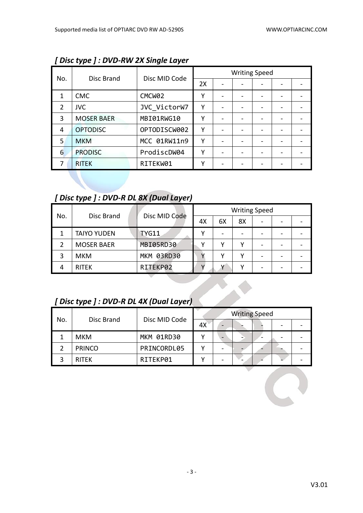|                |                   |                    |    | <b>Writing Speed</b> |  |  |
|----------------|-------------------|--------------------|----|----------------------|--|--|
| No.            | Disc Brand        | Disc MID Code      | 2X |                      |  |  |
|                | <b>CMC</b>        | CMCW <sub>02</sub> | Υ  |                      |  |  |
| $\overline{2}$ | <b>JVC</b>        | JVC VictorW7       | Υ  |                      |  |  |
| 3              | <b>MOSER BAER</b> | MBI01RWG10         | γ  |                      |  |  |
| 4              | <b>OPTODISC</b>   | OPTODISCW002       | Υ  |                      |  |  |
| 5.             | <b>MKM</b>        | MCC 01RW11n9       | γ  |                      |  |  |
| 6              | <b>PRODISC</b>    | ProdiscDW04        | γ  |                      |  |  |
|                | <b>RITEK</b>      | RITEKW01           | γ  |                      |  |  |

*[ Disc type ] : DVD-RW 2X Single Layer*

### *[ Disc type ] : DVD-R DL 8X (Dual Layer)*

| No. | Disc Brand         | Disc MID Code |    |    |    | <b>Writing Speed</b>     |  |
|-----|--------------------|---------------|----|----|----|--------------------------|--|
|     |                    |               | 4X | 6X | 8X | $\overline{\phantom{a}}$ |  |
|     | <b>TAIYO YUDEN</b> | <b>TYG11</b>  |    |    |    |                          |  |
|     | <b>MOSER BAER</b>  | MBI05RD30     |    |    |    | $\overline{\phantom{a}}$ |  |
|     | <b>MKM</b>         | MKM 03RD30    |    |    |    | $\overline{\phantom{0}}$ |  |
|     | <b>RITEK</b>       | RITEKP02      |    |    |    | -                        |  |

## *[ Disc type ] : DVD-R DL 4X (Dual Layer)*

| No. |               |               |    | <b>Writing Speed</b> |   |  |
|-----|---------------|---------------|----|----------------------|---|--|
|     | Disc Brand    | Disc MID Code | 4X |                      |   |  |
|     | <b>MKM</b>    | MKM 01RD30    |    |                      | - |  |
|     | <b>PRINCO</b> | PRINCORDL05   |    |                      |   |  |
|     | <b>RITEK</b>  | RITEKP01      |    |                      |   |  |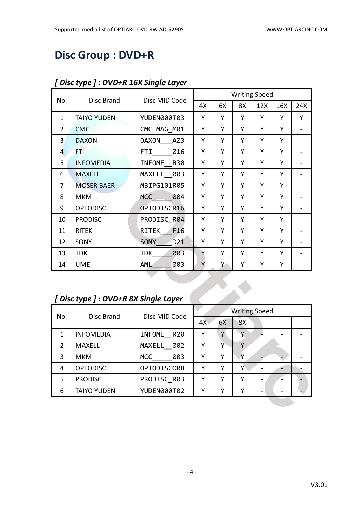# **Disc Group : DVD+R**

|                | Disc Brand                          | Disc MID Code                  |    |    |    | <b>Writing Speed</b> |     |                |  |  |
|----------------|-------------------------------------|--------------------------------|----|----|----|----------------------|-----|----------------|--|--|
| No.            |                                     |                                | 4X | 6X | 8X | 12X                  | 16X | 24X            |  |  |
| $\mathbf{1}$   | <b>TAIYO YUDEN</b>                  | YUDEN000T03                    | Y  | Y  | Y  | Y                    | Y   | Y              |  |  |
| $\overline{2}$ | <b>CMC</b>                          | CMC MAG M01                    | Y  | Y  | Υ  | Y                    | Y   | $\blacksquare$ |  |  |
| 3              | <b>DAXON</b>                        | <b>DAXON</b><br>AZ3            | Y  | Y  | Υ  | Y                    | Y   |                |  |  |
| 4              | FTI.                                | FTI<br>016                     | Y  | Υ  | Y  | Υ                    | Y   |                |  |  |
| 5              | <b>INFOMEDIA</b>                    | INFOME<br>R30                  | Y  | Y  | Y  | Y                    | Y   |                |  |  |
| 6              | <b>MAXELL</b>                       | MAXELL 003                     | Y  | Y  | Y  | Y                    | Y   |                |  |  |
| 7              | <b>MOSER BAER</b>                   | MBIPG101R05                    | Y  | Y  | Υ  | Y                    | Y   |                |  |  |
| 8              | <b>MKM</b>                          | <b>MCC</b><br>004              | Y  | Y  | Υ  | Υ                    | Y   |                |  |  |
| 9              | <b>OPTODISC</b>                     | OPTODISCR16                    | Y  | Y  | Υ  | Y                    | Y   |                |  |  |
| 10             | <b>PRODISC</b>                      | PRODISC R04                    | Y  | Y  | Υ  | Y                    | Y   |                |  |  |
| 11             | <b>RITEK</b>                        | RITEK<br>F16                   | Y  | Y  | Y  | Y                    | Y   |                |  |  |
| 12             | SONY                                | <b>SONY</b><br>D <sub>21</sub> | Υ  | Y  | Y  | Y                    | Y   |                |  |  |
| 13             | <b>TDK</b>                          | <b>TDK</b><br>003              | Y  | Υ  | Y  | Υ                    | Y   |                |  |  |
| 14             | <b>UME</b>                          | 003<br>AML                     | Y  | Y  | Υ  | Υ                    | Υ   |                |  |  |
|                |                                     |                                |    |    |    |                      |     |                |  |  |
|                |                                     |                                |    |    |    |                      |     |                |  |  |
|                | [Disc type ]: DVD+R 8X Single Layer |                                |    |    |    |                      |     |                |  |  |

#### *[ Disc type ] : DVD+R 16X Single Layer*

# *[ Disc type ] : DVD+R 8X Single Layer*

| No. | Disc Brand         | Disc MID Code     |    |    | <b>Writing Speed</b> |  |  |
|-----|--------------------|-------------------|----|----|----------------------|--|--|
|     |                    |                   | 4X | 6X | 8X                   |  |  |
| 1   | <b>INFOMEDIA</b>   | INFOME<br>R20     | γ  | Υ  |                      |  |  |
| 2   | <b>MAXELL</b>      | MAXELL 002        | γ  | γ  | v                    |  |  |
| 3   | <b>MKM</b>         | <b>MCC</b><br>003 | γ  | γ  | Y                    |  |  |
| 4   | <b>OPTODISC</b>    | OPTODISCOR8       | γ  | ۷  | Υ                    |  |  |
| 5   | <b>PRODISC</b>     | PRODISC R03       | γ  | ۷  | γ                    |  |  |
| 6   | <b>TAIYO YUDEN</b> | YUDEN000T02       | γ  | v  | ٧                    |  |  |
|     |                    |                   |    |    |                      |  |  |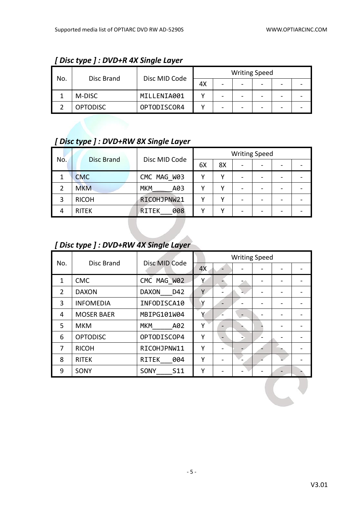| No. |                 |               |    |   | <b>Writing Speed</b> |   |  |
|-----|-----------------|---------------|----|---|----------------------|---|--|
|     | Disc Brand      | Disc MID Code | 4X | - | -                    | - |  |
|     | M-DISC          | MILLENIA001   |    |   | -                    |   |  |
|     | <b>OPTODISC</b> | OPTODISCOR4   |    |   | -                    | - |  |

### *[ Disc type ] : DVD+R 4X Single Layer*

## *[ Disc type ] : DVD+RW 8X Single Layer*

| No. | Disc Brand   | Disc MID Code       | <b>Writing Speed</b> |    |   |                              |  |  |  |
|-----|--------------|---------------------|----------------------|----|---|------------------------------|--|--|--|
|     |              |                     | 6X                   | 8X | - | $\qquad \qquad \blacksquare$ |  |  |  |
|     | <b>CMC</b>   | CMC MAG W03         |                      | ν  |   |                              |  |  |  |
|     | <b>MKM</b>   | <b>MKM</b><br>A03   |                      | ν  |   |                              |  |  |  |
|     | <b>RICOH</b> | RICOHJPNW21         |                      | v  |   |                              |  |  |  |
| 4   | <b>RITEK</b> | 008<br><b>RITEK</b> |                      |    |   |                              |  |  |  |

## *[ Disc type ] : DVD+RW 4X Single Layer*

| No.            | Disc Brand        | Disc MID Code                  |    | <b>Writing Speed</b> |  |  |
|----------------|-------------------|--------------------------------|----|----------------------|--|--|
|                |                   |                                | 4X |                      |  |  |
| 1              | <b>CMC</b>        | CMC MAG W02                    | Y  |                      |  |  |
| $\overline{2}$ | <b>DAXON</b>      | <b>DAXON</b><br>D42            | Y  |                      |  |  |
| 3              | <b>INFOMEDIA</b>  | INFODISCA10                    | v  |                      |  |  |
| 4              | <b>MOSER BAER</b> | MBIPG101W04                    | v  |                      |  |  |
| 5              | <b>MKM</b>        | <b>MKM</b><br>A02              | Y  |                      |  |  |
| 6              | <b>OPTODISC</b>   | OPTODISCOP4                    | Υ  |                      |  |  |
| 7              | <b>RICOH</b>      | RICOHJPNW11                    | Υ  |                      |  |  |
| 8              | <b>RITEK</b>      | <b>RITEK</b><br>004            | Y  |                      |  |  |
| 9              | SONY              | S <sub>11</sub><br><b>SONY</b> | Y  |                      |  |  |

 $\mathcal{L}^{\text{max}}$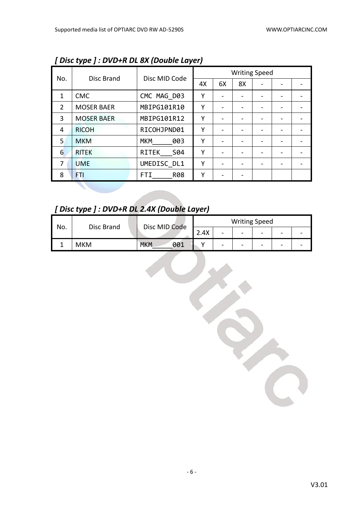|                | $\sim$ $\sim$ $\sim$ |                     | <b>Writing Speed</b> |    |    |  |  |  |  |
|----------------|----------------------|---------------------|----------------------|----|----|--|--|--|--|
| No.            | Disc Brand           | Disc MID Code       | 4X                   | 6X | 8X |  |  |  |  |
| $\mathbf{1}$   | <b>CMC</b>           | CMC MAG D03         | Υ                    |    |    |  |  |  |  |
| $\overline{2}$ | <b>MOSER BAER</b>    | MBIPG101R10         | Υ                    |    |    |  |  |  |  |
| 3              | <b>MOSER BAER</b>    | MBIPG101R12         | Υ                    |    |    |  |  |  |  |
| 4              | <b>RICOH</b>         | RICOHJPND01         | Υ                    |    |    |  |  |  |  |
| 5              | <b>MKM</b>           | <b>MKM</b><br>003   | Υ                    |    |    |  |  |  |  |
| 6              | <b>RITEK</b>         | <b>RITEK</b><br>S04 | Υ                    |    |    |  |  |  |  |
| 7              | <b>UME</b>           | UMEDISC DL1         | Υ                    |    |    |  |  |  |  |
| 8              | FTI                  | FTI.<br><b>R08</b>  | Υ                    |    |    |  |  |  |  |
|                |                      |                     |                      |    |    |  |  |  |  |

*[ Disc type ] : DVD+R DL 8X (Double Layer)*

*[ Disc type ] : DVD+R DL 2.4X (Double Layer)*

| No. | Disc Brand | Disc MID Code     | <b>Writing Speed</b> |   |   |   |   |  |  |
|-----|------------|-------------------|----------------------|---|---|---|---|--|--|
|     |            |                   | 2.4X                 | - | - | - | - |  |  |
|     | <b>MKM</b> | <b>MKM</b><br>001 |                      | - | - | - | - |  |  |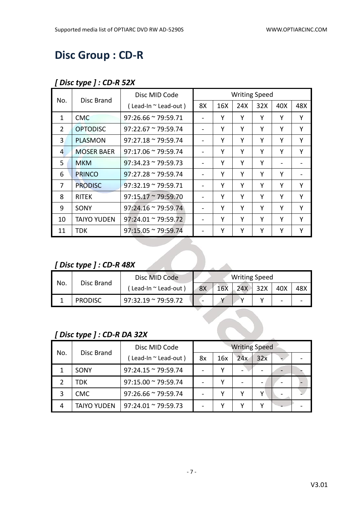# **Disc Group : CD-R**

#### *[ Disc type ] : CD-R 52X*

| No.            | Disc Brand         | Disc MID Code                   |    |     | <b>Writing Speed</b> |     |     |     |
|----------------|--------------------|---------------------------------|----|-----|----------------------|-----|-----|-----|
|                |                    | $($ Lead-In $\sim$ Lead-out $)$ | 8X | 16X | 24X                  | 32X | 40X | 48X |
| 1              | <b>CMC</b>         | $97:26.66 \approx 79:59.71$     |    | Υ   | Υ                    | Y   | Υ   | Y   |
| $\overline{2}$ | <b>OPTODISC</b>    | $97:22.67 \approx 79:59.74$     |    | Υ   | Υ                    | Y   | Y   | Y   |
| 3              | <b>PLASMON</b>     | $97:27.18 \approx 79:59.74$     |    | Υ   | Υ                    | Υ   | Υ   | Y   |
| 4              | <b>MOSER BAER</b>  | $97:17.06 \approx 79:59.74$     |    | Υ   | Υ                    | Y   | Υ   | Y   |
| 5.             | <b>MKM</b>         | $97:34.23 \approx 79:59.73$     |    | Y   | Υ                    | Y   |     |     |
| 6              | <b>PRINCO</b>      | $97:27.28 \approx 79:59.74$     |    | Υ   | Υ                    | Υ   | Υ   |     |
| 7              | <b>PRODISC</b>     | $97:32.19 \approx 79:59.71$     |    | Υ   | Υ                    | Υ   | Υ   | Υ   |
| 8              | <b>RITEK</b>       | $97:15.17 \approx 79:59.70$     |    | Υ   | Υ                    | Y   | Υ   | Υ   |
| 9              | SONY               | $97:24.16 \approx 79:59.74$     |    | Υ   | Υ                    | Υ   | Υ   | Υ   |
| 10             | <b>TAIYO YUDEN</b> | $97:24.01 \approx 79:59.72$     |    | Y   | Υ                    | Υ   | Υ   | Υ   |
| 11             | <b>TDK</b>         | $97:15.05 \approx 79:59.74$     |    | Υ   | Υ                    | Υ   | Y   | Y   |

### *[ Disc type ] : CD-R 48X*

|                            | [Disc type ] : $CD-R$ 48X |                             |    |            |                      |     |     |     |
|----------------------------|---------------------------|-----------------------------|----|------------|----------------------|-----|-----|-----|
|                            | Disc Brand                | Disc MID Code               |    |            | <b>Writing Speed</b> |     |     |     |
| No.                        |                           | (Lead-In ~ Lead-out)        | 8X | <b>16X</b> | 24X                  | 32X | 40X | 48X |
| 1                          | <b>PRODISC</b>            | $97:32.19 \approx 79:59.72$ |    |            | Υ                    | Υ   |     |     |
| [Disc type ] : CD-R DA 32X |                           |                             |    |            |                      |     |     |     |

#### *[ Disc type ] : CD-R DA 32X*

| No. | Disc Brand         | Disc MID Code               | <b>Writing Speed</b> |     |     |                          |  |  |  |
|-----|--------------------|-----------------------------|----------------------|-----|-----|--------------------------|--|--|--|
|     |                    | (Lead-In ~ Lead-out)        | 8x                   | 16x | 24x | 32x                      |  |  |  |
|     | SONY               | $97:24.15 \approx 79:59.74$ |                      |     |     | $\overline{\phantom{0}}$ |  |  |  |
|     | TDK                | $97:15.00 \approx 79:59.74$ |                      |     |     | $\overline{\phantom{0}}$ |  |  |  |
| 3   | <b>CMC</b>         | $97:26.66 \approx 79:59.74$ |                      |     |     | v                        |  |  |  |
| 4   | <b>TAIYO YUDEN</b> | $97:24.01 \approx 79:59.73$ |                      |     |     |                          |  |  |  |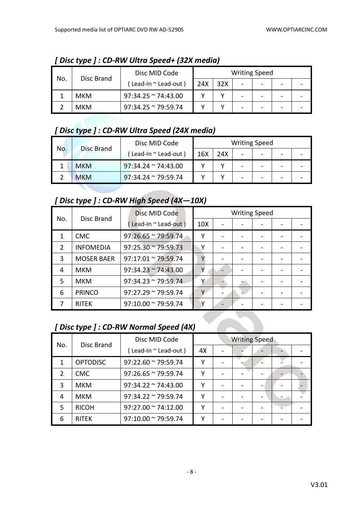| No. |            | Disc MID Code               |     |     | <b>Writing Speed</b>     |                          |  |
|-----|------------|-----------------------------|-----|-----|--------------------------|--------------------------|--|
|     | Disc Brand | Lead-In ~ Lead-out)         | 24X | 32X | $\overline{\phantom{0}}$ | -                        |  |
|     | <b>MKM</b> | $97:34.25 \approx 74:43.00$ |     |     | -                        | $\overline{\phantom{0}}$ |  |
|     | <b>MKM</b> | 97:34.25 ~ 79:59.74         |     |     |                          | -                        |  |

*[ Disc type ] : CD-RW Ultra Speed+ (32X media)*

### *[ Disc type ] : CD-RW Ultra Speed (24X media)*

| No. | <b>Disc Brand</b> | Disc MID Code               |     |     |                          | <b>Writing Speed</b> |  |
|-----|-------------------|-----------------------------|-----|-----|--------------------------|----------------------|--|
|     |                   | Lead-In ~ Lead-out)         | 16X | 24X | $\overline{\phantom{a}}$ | -                    |  |
|     | <b>MKM</b>        | $97:34.24 \approx 74:43.00$ |     |     | $\overline{\phantom{0}}$ | -                    |  |
|     | <b>MKM</b>        | $97:34.24 \approx 79:59.74$ |     |     | -                        |                      |  |

#### *[ Disc type ] : CD-RW High Speed (4X—10X)*

|                |                   | Disc MID Code               |                 | <b>Writing Speed</b> |  |  |
|----------------|-------------------|-----------------------------|-----------------|----------------------|--|--|
| No.            | Disc Brand        | (Lead-In ~ Lead-out)        | 10 <sub>X</sub> |                      |  |  |
|                | <b>CMC</b>        | $97:26.65 \approx 79:59.74$ | Υ               |                      |  |  |
| $\overline{2}$ | <b>INFOMEDIA</b>  | $97:25.30 \approx 79:59.73$ | Υ               |                      |  |  |
| 3              | <b>MOSER BAER</b> | $97:17.01 \approx 79:59.74$ |                 |                      |  |  |
| 4              | <b>MKM</b>        | $97:34.23 \approx 74:43.00$ |                 |                      |  |  |
| 5              | <b>MKM</b>        | $97:34.23 \approx 79:59.74$ |                 |                      |  |  |
| 6              | <b>PRINCO</b>     | $97:27.29 \approx 79:59.74$ | v               |                      |  |  |
|                | <b>RITEK</b>      | $97:10.00 \approx 79:59.74$ |                 |                      |  |  |

# *[ Disc type ] : CD-RW Normal Speed (4X)*

| No. | Disc Brand      | Disc MID Code               |    | <b>Writing Speed</b> |                          |  |  |  |
|-----|-----------------|-----------------------------|----|----------------------|--------------------------|--|--|--|
|     |                 | (Lead-In ~ Lead-out)        | 4X |                      |                          |  |  |  |
| 1   | <b>OPTODISC</b> | $97:22.60 \approx 79:59.74$ | γ  |                      | $\overline{\phantom{0}}$ |  |  |  |
| 2   | <b>CMC</b>      | $97:26.65 \approx 79:59.74$ | γ  |                      |                          |  |  |  |
| 3   | <b>MKM</b>      | $97:34.22 \approx 74:43.00$ | γ  |                      |                          |  |  |  |
| 4   | <b>MKM</b>      | $97:34.22 \approx 79:59.74$ | ٧  |                      |                          |  |  |  |
| 5   | <b>RICOH</b>    | $97:27.00 \approx 74:12.00$ | v  |                      |                          |  |  |  |
| 6   | <b>RITEK</b>    | $97:10.00 \approx 79:59.74$ |    |                      |                          |  |  |  |